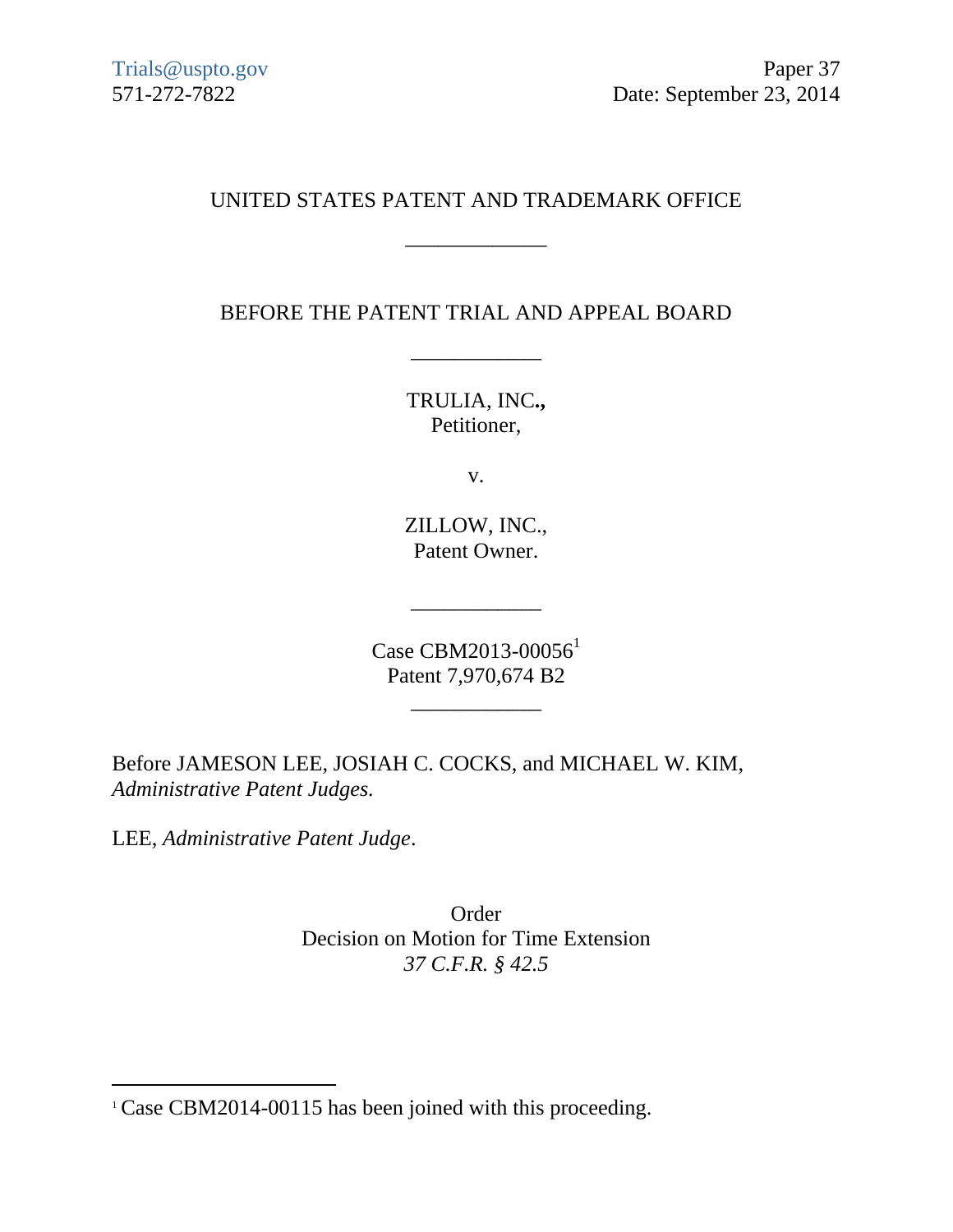# UNITED STATES PATENT AND TRADEMARK OFFICE

\_\_\_\_\_\_\_\_\_\_\_\_\_

BEFORE THE PATENT TRIAL AND APPEAL BOARD

\_\_\_\_\_\_\_\_\_\_\_\_

TRULIA, INC**.,** Petitioner,

v.

ZILLOW, INC., Patent Owner.

Case CBM2013-00056<sup>1</sup> Patent 7,970,674 B2

 $\frac{1}{\sqrt{2}}$  ,  $\frac{1}{\sqrt{2}}$  ,  $\frac{1}{\sqrt{2}}$  ,  $\frac{1}{\sqrt{2}}$  ,  $\frac{1}{\sqrt{2}}$  ,  $\frac{1}{\sqrt{2}}$  ,  $\frac{1}{\sqrt{2}}$  ,  $\frac{1}{\sqrt{2}}$  ,  $\frac{1}{\sqrt{2}}$  ,  $\frac{1}{\sqrt{2}}$  ,  $\frac{1}{\sqrt{2}}$  ,  $\frac{1}{\sqrt{2}}$  ,  $\frac{1}{\sqrt{2}}$  ,  $\frac{1}{\sqrt{2}}$  ,  $\frac{1}{\sqrt{2}}$ 

\_\_\_\_\_\_\_\_\_\_\_\_

Before JAMESON LEE, JOSIAH C. COCKS, and MICHAEL W. KIM, *Administrative Patent Judges.*

LEE, *Administrative Patent Judge*.

 $\overline{a}$ 

Order Decision on Motion for Time Extension *37 C.F.R. § 42.5*

<sup>&</sup>lt;sup>1</sup> Case CBM2014-00115 has been joined with this proceeding.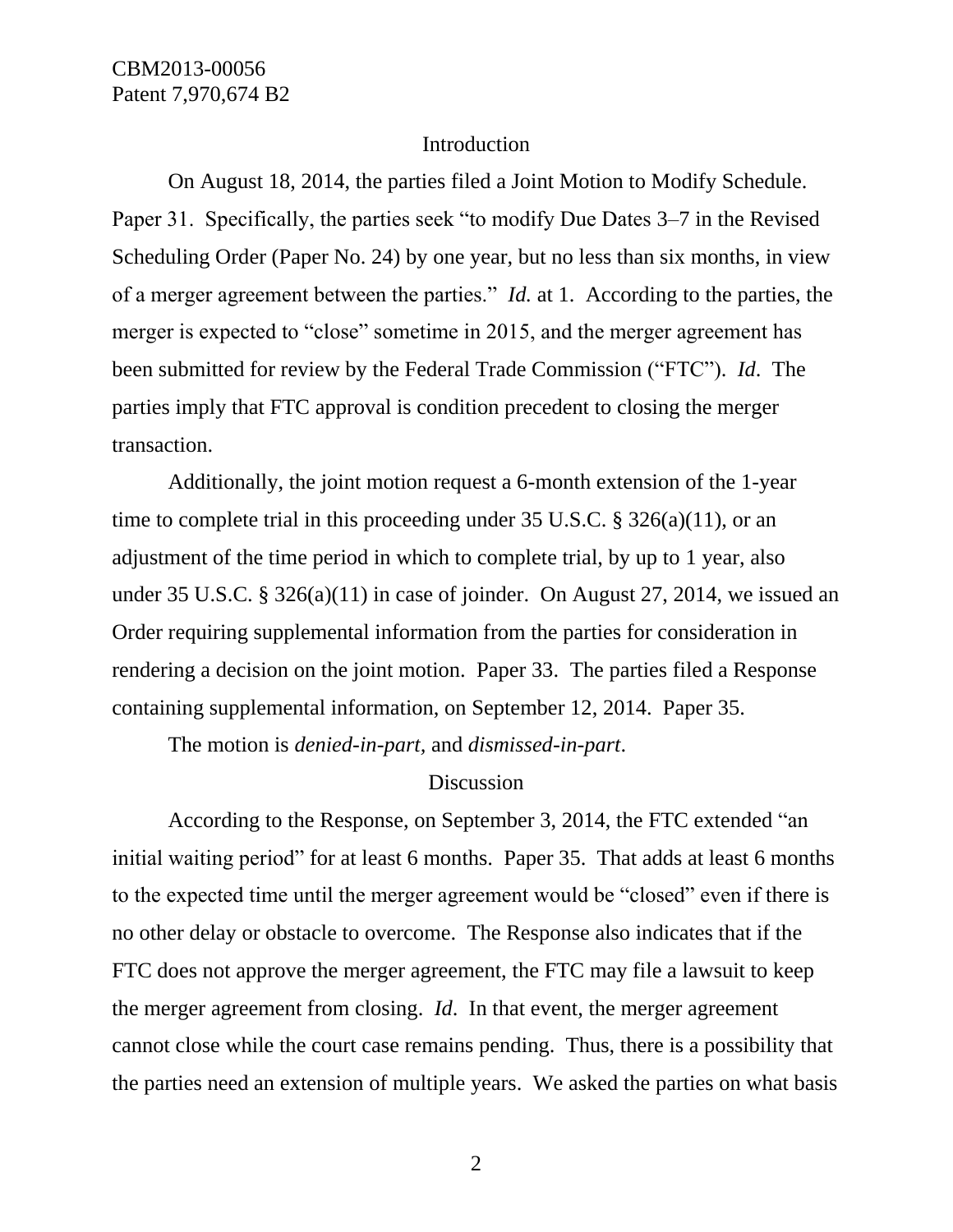#### Introduction

On August 18, 2014, the parties filed a Joint Motion to Modify Schedule. Paper 31. Specifically, the parties seek "to modify Due Dates 3–7 in the Revised Scheduling Order (Paper No. 24) by one year, but no less than six months, in view of a merger agreement between the parties." *Id.* at 1. According to the parties, the merger is expected to "close" sometime in 2015, and the merger agreement has been submitted for review by the Federal Trade Commission ("FTC"). *Id*. The parties imply that FTC approval is condition precedent to closing the merger transaction.

Additionally, the joint motion request a 6-month extension of the 1-year time to complete trial in this proceeding under 35 U.S.C. § 326(a)(11), or an adjustment of the time period in which to complete trial, by up to 1 year, also under 35 U.S.C. § 326(a)(11) in case of joinder. On August 27, 2014, we issued an Order requiring supplemental information from the parties for consideration in rendering a decision on the joint motion. Paper 33. The parties filed a Response containing supplemental information, on September 12, 2014. Paper 35.

The motion is *denied-in-part,* and *dismissed-in-part*.

### Discussion

According to the Response, on September 3, 2014, the FTC extended "an initial waiting period" for at least 6 months. Paper 35. That adds at least 6 months to the expected time until the merger agreement would be "closed" even if there is no other delay or obstacle to overcome. The Response also indicates that if the FTC does not approve the merger agreement, the FTC may file a lawsuit to keep the merger agreement from closing. *Id*. In that event, the merger agreement cannot close while the court case remains pending. Thus, there is a possibility that the parties need an extension of multiple years. We asked the parties on what basis

2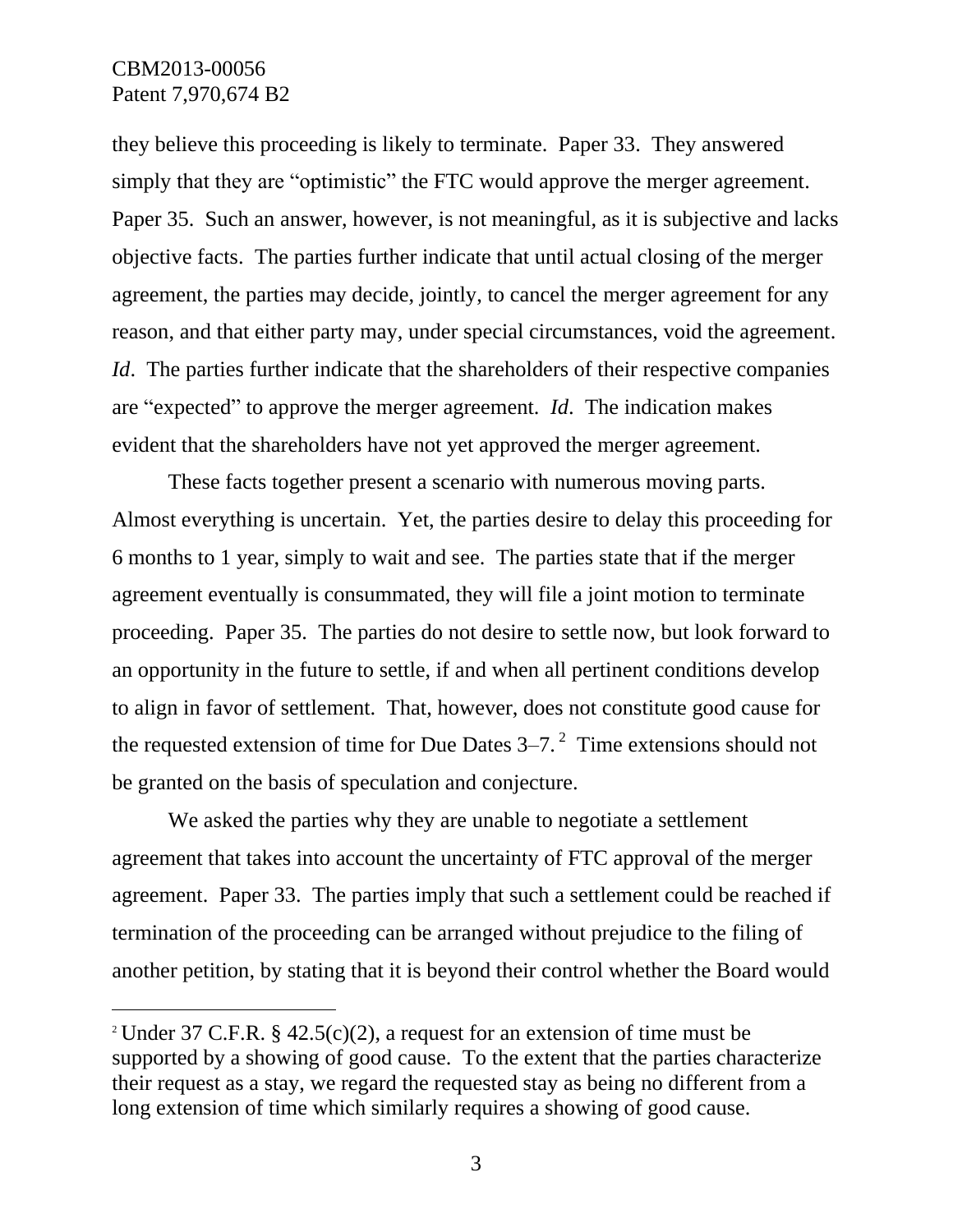l

they believe this proceeding is likely to terminate. Paper 33. They answered simply that they are "optimistic" the FTC would approve the merger agreement. Paper 35. Such an answer, however, is not meaningful, as it is subjective and lacks objective facts. The parties further indicate that until actual closing of the merger agreement, the parties may decide, jointly, to cancel the merger agreement for any reason, and that either party may, under special circumstances, void the agreement. *Id.* The parties further indicate that the shareholders of their respective companies are "expected" to approve the merger agreement. *Id*. The indication makes evident that the shareholders have not yet approved the merger agreement.

These facts together present a scenario with numerous moving parts. Almost everything is uncertain. Yet, the parties desire to delay this proceeding for 6 months to 1 year, simply to wait and see. The parties state that if the merger agreement eventually is consummated, they will file a joint motion to terminate proceeding. Paper 35. The parties do not desire to settle now, but look forward to an opportunity in the future to settle, if and when all pertinent conditions develop to align in favor of settlement. That, however, does not constitute good cause for the requested extension of time for Due Dates  $3-7$ .<sup>2</sup> Time extensions should not be granted on the basis of speculation and conjecture.

We asked the parties why they are unable to negotiate a settlement agreement that takes into account the uncertainty of FTC approval of the merger agreement. Paper 33. The parties imply that such a settlement could be reached if termination of the proceeding can be arranged without prejudice to the filing of another petition, by stating that it is beyond their control whether the Board would

<sup>&</sup>lt;sup>2</sup> Under 37 C.F.R. § 42.5(c)(2), a request for an extension of time must be supported by a showing of good cause. To the extent that the parties characterize their request as a stay, we regard the requested stay as being no different from a long extension of time which similarly requires a showing of good cause.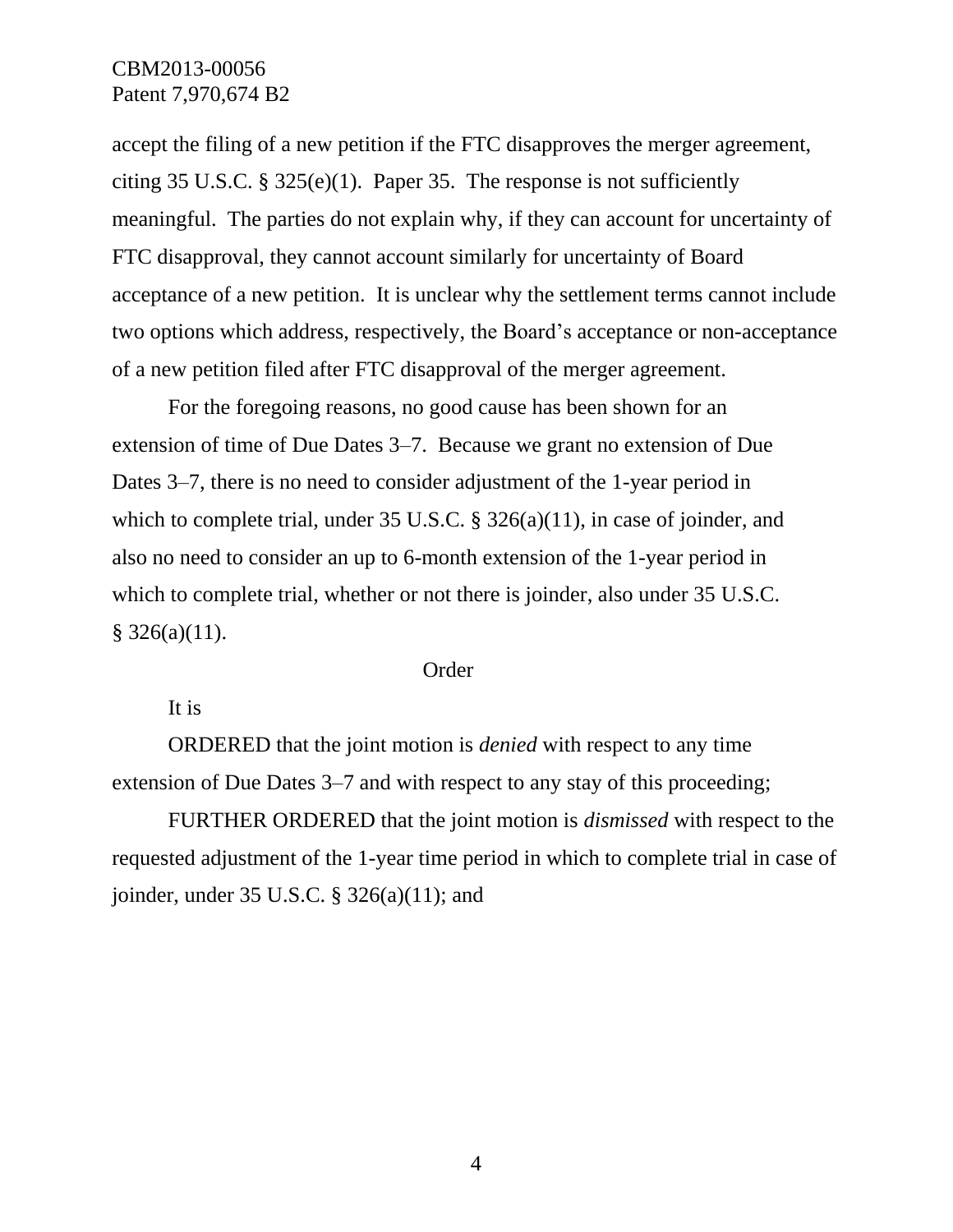accept the filing of a new petition if the FTC disapproves the merger agreement, citing 35 U.S.C. § 325(e)(1). Paper 35. The response is not sufficiently meaningful. The parties do not explain why, if they can account for uncertainty of FTC disapproval, they cannot account similarly for uncertainty of Board acceptance of a new petition. It is unclear why the settlement terms cannot include two options which address, respectively, the Board's acceptance or non-acceptance of a new petition filed after FTC disapproval of the merger agreement.

For the foregoing reasons, no good cause has been shown for an extension of time of Due Dates 3–7. Because we grant no extension of Due Dates 3–7, there is no need to consider adjustment of the 1-year period in which to complete trial, under 35 U.S.C. § 326(a)(11), in case of joinder, and also no need to consider an up to 6-month extension of the 1-year period in which to complete trial, whether or not there is joinder, also under 35 U.S.C.  $§$  326(a)(11).

#### Order

It is

ORDERED that the joint motion is *denied* with respect to any time extension of Due Dates 3–7 and with respect to any stay of this proceeding;

FURTHER ORDERED that the joint motion is *dismissed* with respect to the requested adjustment of the 1-year time period in which to complete trial in case of joinder, under 35 U.S.C. § 326(a)(11); and

4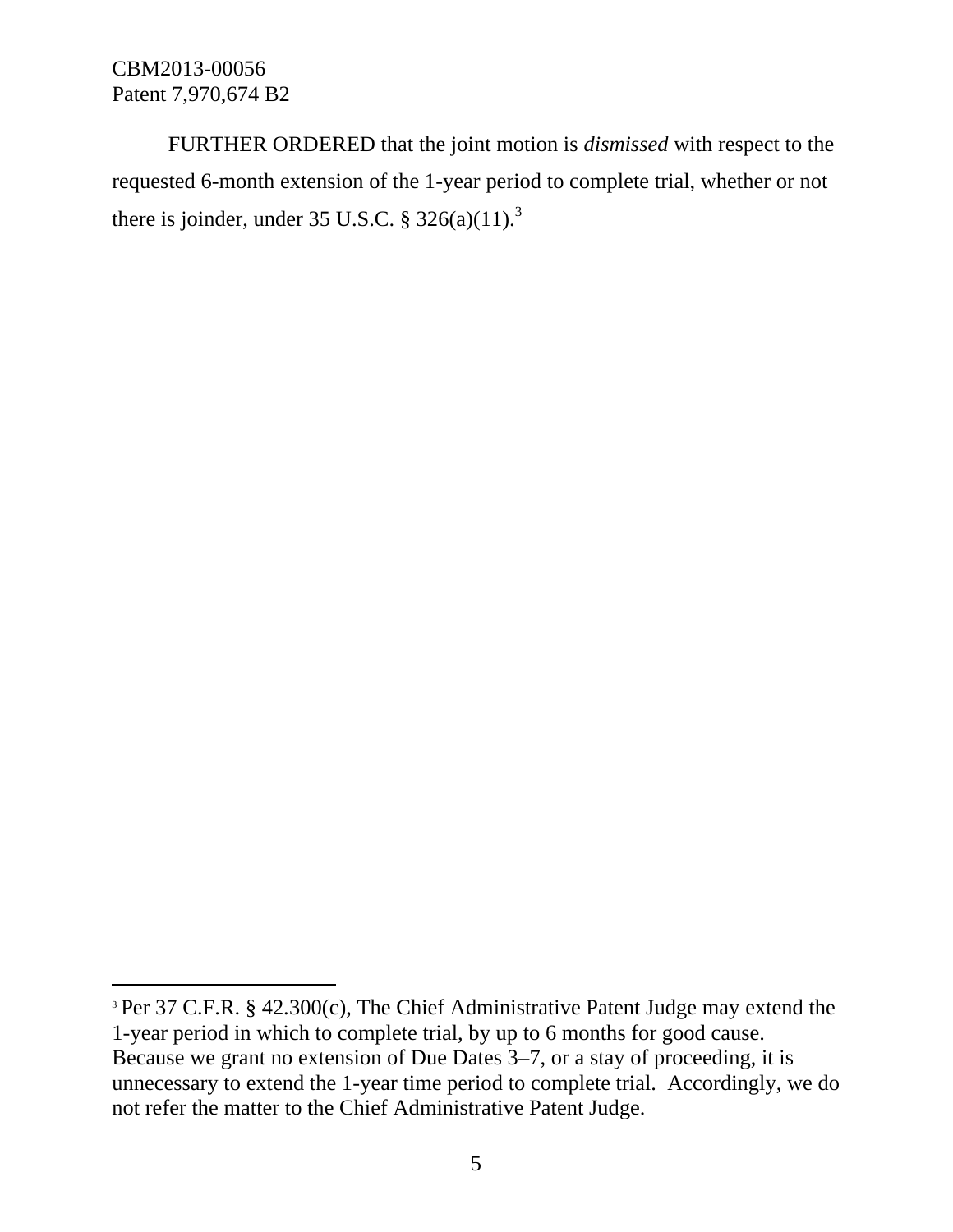l

FURTHER ORDERED that the joint motion is *dismissed* with respect to the requested 6-month extension of the 1-year period to complete trial, whether or not there is joinder, under 35 U.S.C.  $\S 326(a)(11).$ <sup>3</sup>

<sup>&</sup>lt;sup>3</sup> Per 37 C.F.R. § 42.300(c), The Chief Administrative Patent Judge may extend the 1-year period in which to complete trial, by up to 6 months for good cause. Because we grant no extension of Due Dates 3–7, or a stay of proceeding, it is unnecessary to extend the 1-year time period to complete trial. Accordingly, we do not refer the matter to the Chief Administrative Patent Judge.